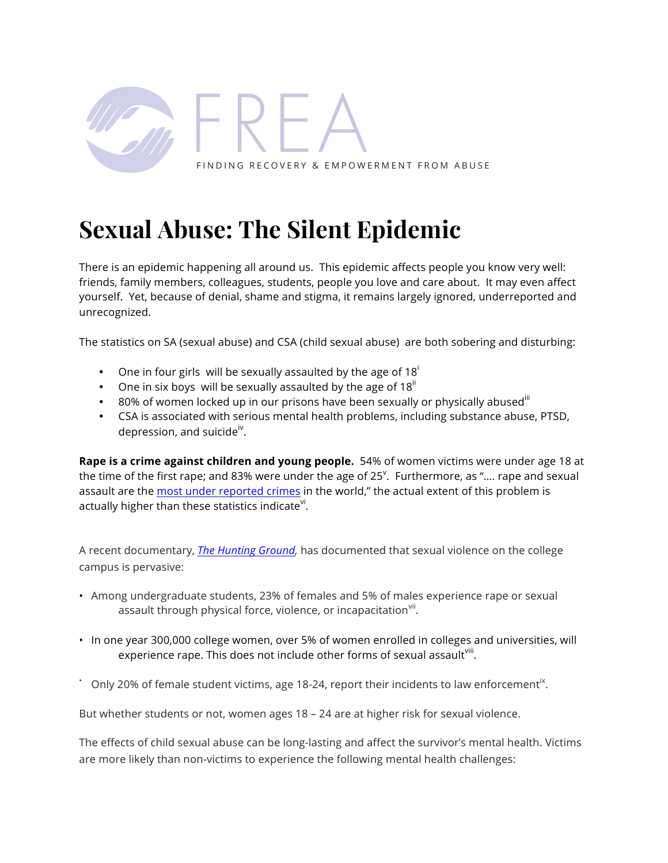

# **Sexual Abuse: The Silent Epidemic**

There is an epidemic happening all around us. This epidemic affects people you know very well: friends, family members, colleagues, students, people you love and care about. It may even affect yourself. Yet, because of denial, shame and stigma, it remains largely ignored, underreported and unrecognized.

The statistics on SA (sexual abuse) and CSA (child sexual abuse) are both sobering and disturbing:

- One in four girls will be sexually assaulted by the age of  $18<sup>i</sup>$
- One in six boys will be sexually assaulted by the age of  $18<sup>ii</sup>$
- 80% of women locked up in our prisons have been sexually or physically abused  $\mathbf{u}$
- CSA is associated with serious mental health problems, including substance abuse, PTSD, depression, and suicide<sup>iv</sup>.

**Rape is a crime against children and young people.** 54% of women victims were under age 18 at the time of the first rape; and 83% were under the age of 25 $^{\circ}$ . Furthermore, as ".... rape and sexual assault are the most under reported crimes in the world," the actual extent of this problem is actually higher than these statistics indicate $^{\sf vi}.$ 

A recent documentary, *The Hunting Ground,* has documented that sexual violence on the college campus is pervasive:

- Among undergraduate students, 23% of females and 5% of males experience rape or sexual assault through physical force, violence, or incapacitation<sup>vii</sup>.
- In one year 300,000 college women, over 5% of women enrolled in colleges and universities, will experience rape. This does not include other forms of sexual assault<sup>viii</sup>.
- $\cdot$  Only 20% of female student victims, age 18-24, report their incidents to law enforcement<sup>ix</sup>.

But whether students or not, women ages 18 – 24 are at higher risk for sexual violence.

The effects of child sexual abuse can be long-lasting and affect the survivor's mental health. Victims are more likely than non-victims to experience the following mental health challenges: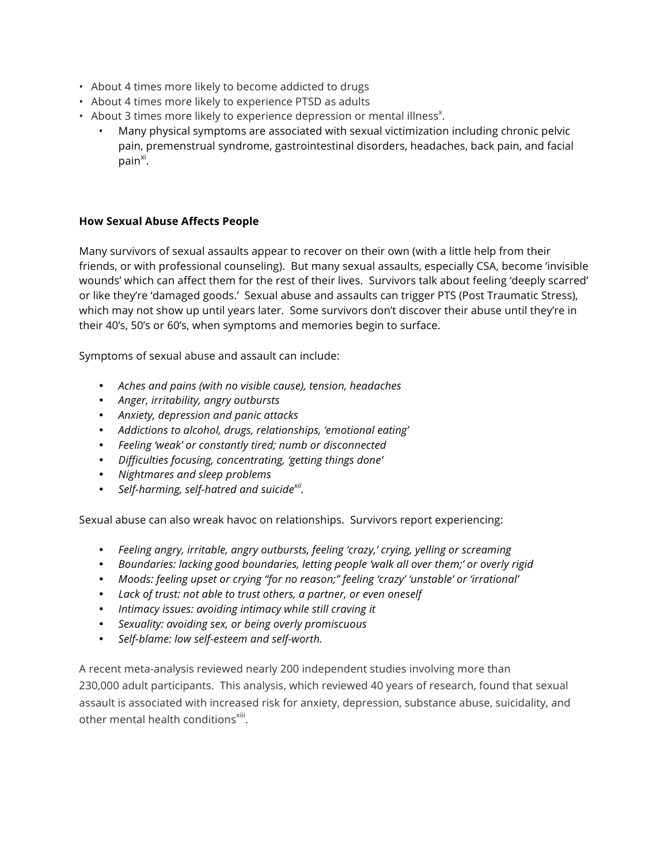- About 4 times more likely to become addicted to drugs
- About 4 times more likely to experience PTSD as adults
- $\cdot$  About 3 times more likely to experience depression or mental illness<sup>x</sup>.
	- Many physical symptoms are associated with sexual victimization including chronic pelvic pain, premenstrual syndrome, gastrointestinal disorders, headaches, back pain, and facial pain<sup>xi</sup>.

### **How Sexual Abuse Affects People**

Many survivors of sexual assaults appear to recover on their own (with a little help from their friends, or with professional counseling). But many sexual assaults, especially CSA, become 'invisible wounds' which can affect them for the rest of their lives. Survivors talk about feeling 'deeply scarred' or like they're 'damaged goods.' Sexual abuse and assaults can trigger PTS (Post Traumatic Stress), which may not show up until years later. Some survivors don't discover their abuse until they're in their 40's, 50's or 60's, when symptoms and memories begin to surface.

Symptoms of sexual abuse and assault can include:

- *Aches and pains (with no visible cause), tension, headaches*
- *Anger, irritability, angry outbursts*
- *Anxiety, depression and panic attacks*
- *Addictions to alcohol, drugs, relationships, 'emotional eating'*
- *Feeling 'weak' or constantly tired; numb or disconnected*
- *Difficulties focusing, concentrating, 'getting things done'*
- *Nightmares and sleep problems*
- *Self-harming, self-hatred and suicidexii.*

Sexual abuse can also wreak havoc on relationships. Survivors report experiencing:

- *Feeling angry, irritable, angry outbursts, feeling 'crazy,' crying, yelling or screaming*
- *Boundaries: lacking good boundaries, letting people 'walk all over them;' or overly rigid*
- *Moods: feeling upset or crying "for no reason;" feeling 'crazy' 'unstable' or 'irrational'*
- *Lack of trust: not able to trust others, a partner, or even oneself*
- *Intimacy issues: avoiding intimacy while still craving it*
- *Sexuality: avoiding sex, or being overly promiscuous*
- *Self-blame: low self-esteem and self-worth.*

A recent meta-analysis reviewed nearly 200 independent studies involving more than 230,000 adult participants. This analysis, which reviewed 40 years of research, found that sexual assault is associated with increased risk for anxiety, depression, substance abuse, suicidality, and other mental health conditions $x^{\text{iii}}$ .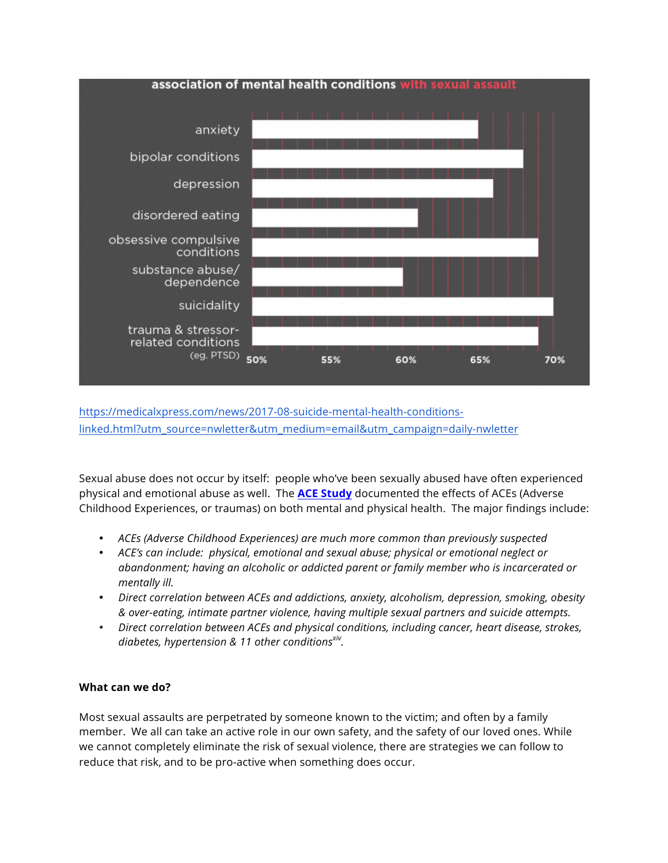

https://medicalxpress.com/news/2017-08-suicide-mental-health-conditionslinked.html?utm\_source=nwletter&utm\_medium=email&utm\_campaign=daily-nwletter

Sexual abuse does not occur by itself: people who've been sexually abused have often experienced physical and emotional abuse as well. The **ACE Study** documented the effects of ACEs (Adverse Childhood Experiences, or traumas) on both mental and physical health. The major findings include:

- *ACEs (Adverse Childhood Experiences) are much more common than previously suspected*
- *ACE's can include: physical, emotional and sexual abuse; physical or emotional neglect or abandonment; having an alcoholic or addicted parent or family member who is incarcerated or mentally ill.*
- *Direct correlation between ACEs and addictions, anxiety, alcoholism, depression, smoking, obesity & over-eating, intimate partner violence, having multiple sexual partners and suicide attempts.*
- *Direct correlation between ACEs and physical conditions, including cancer, heart disease, strokes, diabetes, hypertension & 11 other conditionsxiv.*

## **What can we do?**

Most sexual assaults are perpetrated by someone known to the victim; and often by a family member. We all can take an active role in our own safety, and the safety of our loved ones. While we cannot completely eliminate the risk of sexual violence, there are strategies we can follow to reduce that risk, and to be pro-active when something does occur.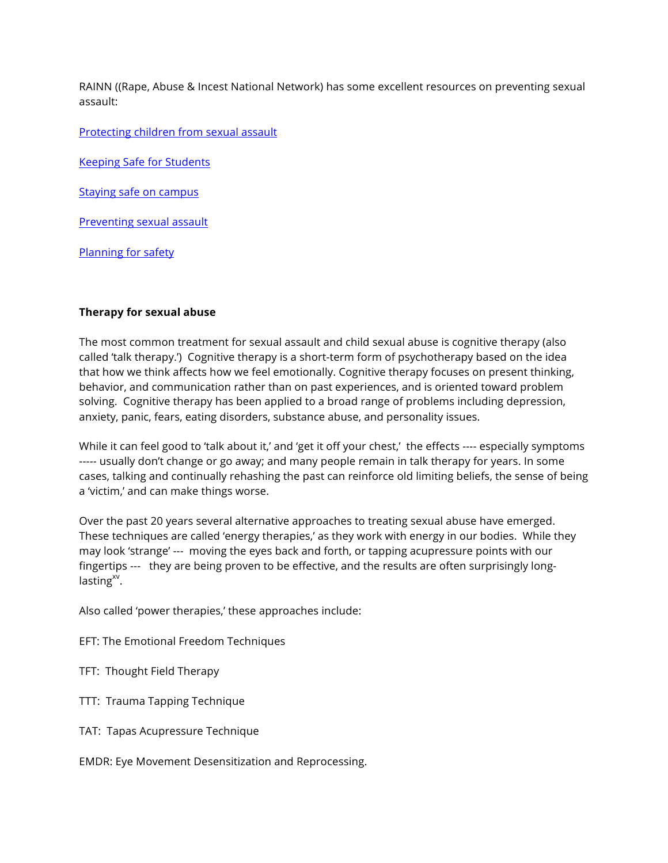RAINN ((Rape, Abuse & Incest National Network) has some excellent resources on preventing sexual assault:

Protecting children from sexual assault

Keeping Safe for Students

Staying safe on campus

Preventing sexual assault

Planning for safety

### **Therapy for sexual abuse**

The most common treatment for sexual assault and child sexual abuse is cognitive therapy (also called 'talk therapy.') Cognitive therapy is a short-term form of psychotherapy based on the idea that how we think affects how we feel emotionally. Cognitive therapy focuses on present thinking, behavior, and communication rather than on past experiences, and is oriented toward problem solving. Cognitive therapy has been applied to a broad range of problems including depression, anxiety, panic, fears, eating disorders, substance abuse, and personality issues.

While it can feel good to 'talk about it,' and 'get it off your chest,' the effects ---- especially symptoms ----- usually don't change or go away; and many people remain in talk therapy for years. In some cases, talking and continually rehashing the past can reinforce old limiting beliefs, the sense of being a 'victim,' and can make things worse.

Over the past 20 years several alternative approaches to treating sexual abuse have emerged. These techniques are called 'energy therapies,' as they work with energy in our bodies. While they may look 'strange' --- moving the eyes back and forth, or tapping acupressure points with our fingertips --- they are being proven to be effective, and the results are often surprisingly longlasting $^{x}$ .

Also called 'power therapies,' these approaches include:

EFT: The Emotional Freedom Techniques

TFT: Thought Field Therapy

TTT: Trauma Tapping Technique

TAT: Tapas Acupressure Technique

EMDR: Eye Movement Desensitization and Reprocessing.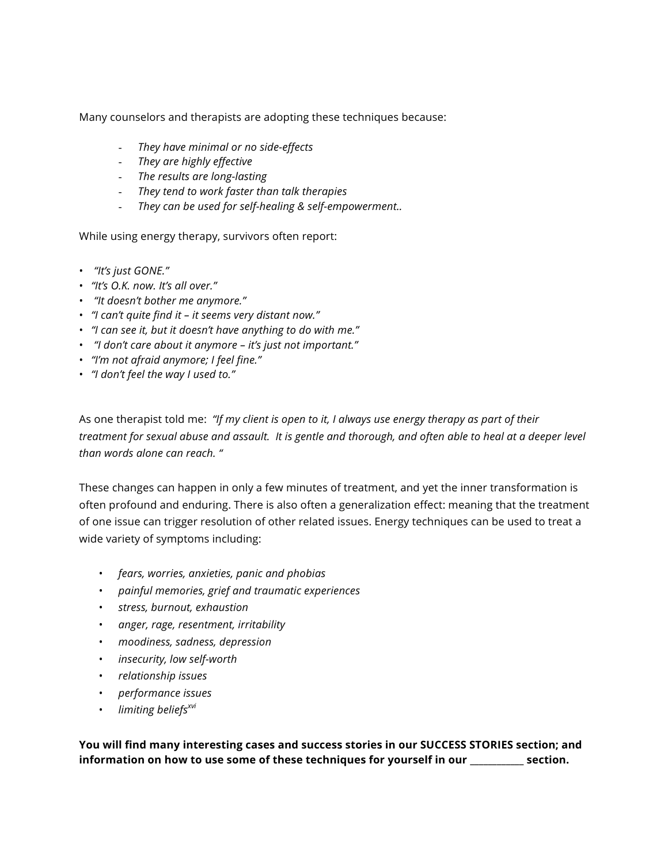Many counselors and therapists are adopting these techniques because:

- *They have minimal or no side-effects*
- *They are highly effective*
- *The results are long-lasting*
- *They tend to work faster than talk therapies*
- *They can be used for self-healing & self-empowerment..*

While using energy therapy, survivors often report:

- *"It's just GONE."*
- *"It's O.K. now. It's all over."*
- *"It doesn't bother me anymore."*
- *"I can't quite find it – it seems very distant now."*
- *"I can see it, but it doesn't have anything to do with me."*
- *"I don't care about it anymore – it's just not important."*
- *"I'm not afraid anymore; I feel fine."*
- *"I don't feel the way I used to."*

As one therapist told me: *"If my client is open to it, I always use energy therapy as part of their treatment for sexual abuse and assault. It is gentle and thorough, and often able to heal at a deeper level than words alone can reach. "*

These changes can happen in only a few minutes of treatment, and yet the inner transformation is often profound and enduring. There is also often a generalization effect: meaning that the treatment of one issue can trigger resolution of other related issues. Energy techniques can be used to treat a wide variety of symptoms including:

- *fears, worries, anxieties, panic and phobias*
- *painful memories, grief and traumatic experiences*
- *stress, burnout, exhaustion*
- *anger, rage, resentment, irritability*
- *moodiness, sadness, depression*
- *insecurity, low self-worth*
- *relationship issues*
- *performance issues*
- *limiting beliefsxvi*

**You will find many interesting cases and success stories in our SUCCESS STORIES section; and information on how to use some of these techniques for yourself in our \_\_\_\_\_\_\_\_\_\_\_\_ section.**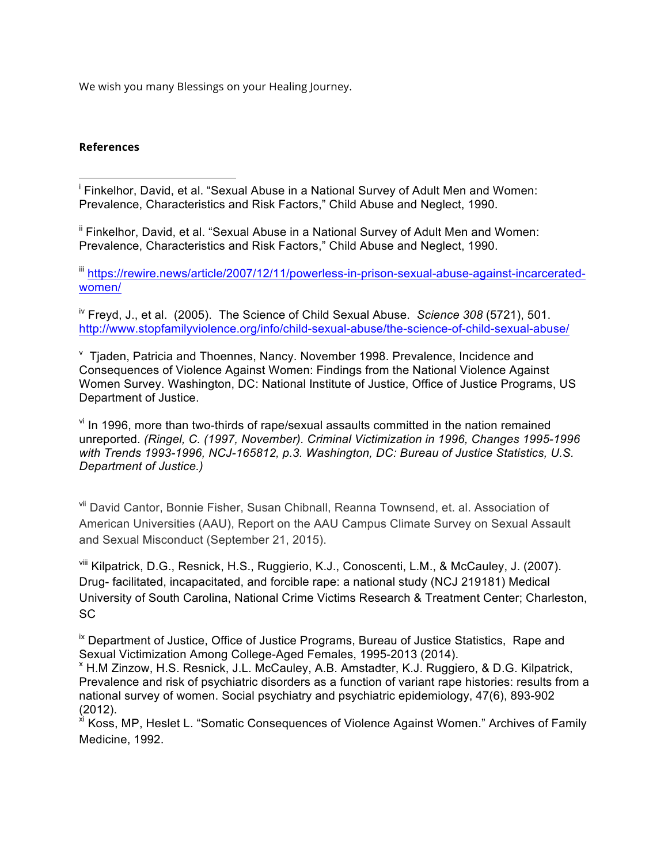We wish you many Blessings on your Healing Journey.

# **References**

 

<sup>i</sup> Finkelhor, David, et al. "Sexual Abuse in a National Survey of Adult Men and Women: Prevalence, Characteristics and Risk Factors," Child Abuse and Neglect, 1990.

<sup>ii</sup> Finkelhor, David, et al. "Sexual Abuse in a National Survey of Adult Men and Women: Prevalence, Characteristics and Risk Factors," Child Abuse and Neglect, 1990.

iii https://rewire.news/article/2007/12/11/powerless-in-prison-sexual-abuse-against-incarceratedwomen/

iv Freyd, J., et al. (2005). The Science of Child Sexual Abuse. *Science 308* (5721), 501. http://www.stopfamilyviolence.org/info/child-sexual-abuse/the-science-of-child-sexual-abuse/

v Tjaden, Patricia and Thoennes, Nancy. November 1998. Prevalence, Incidence and Consequences of Violence Against Women: Findings from the National Violence Against Women Survey. Washington, DC: National Institute of Justice, Office of Justice Programs, US Department of Justice.

v<sup>i</sup> In 1996, more than two-thirds of rape/sexual assaults committed in the nation remained unreported. *(Ringel, C. (1997, November). Criminal Victimization in 1996, Changes 1995-1996 with Trends 1993-1996, NCJ-165812, p.3. Washington, DC: Bureau of Justice Statistics, U.S. Department of Justice.)*

vii David Cantor, Bonnie Fisher, Susan Chibnall, Reanna Townsend, et. al. Association of American Universities (AAU), Report on the AAU Campus Climate Survey on Sexual Assault and Sexual Misconduct (September 21, 2015).

viii Kilpatrick, D.G., Resnick, H.S., Ruggierio, K.J., Conoscenti, L.M., & McCauley, J. (2007). Drug- facilitated, incapacitated, and forcible rape: a national study (NCJ 219181) Medical University of South Carolina, National Crime Victims Research & Treatment Center; Charleston, SC

<sup>ix</sup> Department of Justice, Office of Justice Programs, Bureau of Justice Statistics, Rape and Sexual Victimization Among College-Aged Females, 1995-2013 (2014).<br><sup>x</sup> H.M Zinzow, H.S. Resnick, J.L. McCauley, A.B. Amstadter, K.J. Ruggiero, & D.G. Kilpatrick,

Prevalence and risk of psychiatric disorders as a function of variant rape histories: results from a national survey of women. Social psychiatry and psychiatric epidemiology, 47(6), 893-902 (2012).

xi Koss, MP, Heslet L. "Somatic Consequences of Violence Against Women." Archives of Family Medicine, 1992.